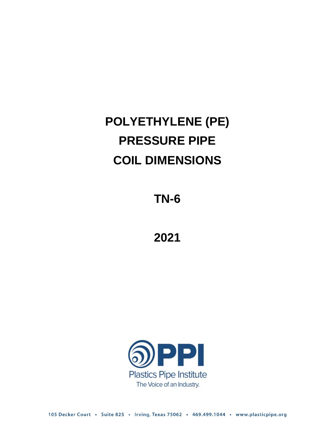# **POLYETHYLENE (PE) PRESSURE PIPE COIL DIMENSIONS**

**TN-6**

**2021**



105 Decker Court · Suite 825 · Irving, Texas 75062 · 469.499.1044 · www.plasticpipe.org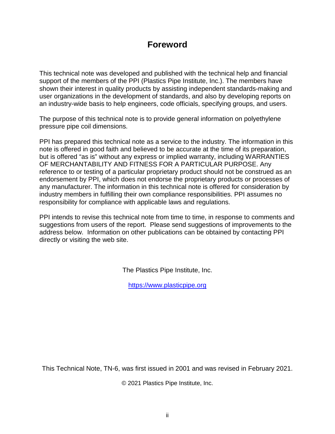### **Foreword**

This technical note was developed and published with the technical help and financial support of the members of the PPI (Plastics Pipe Institute, Inc.). The members have shown their interest in quality products by assisting independent standards-making and user organizations in the development of standards, and also by developing reports on an industry-wide basis to help engineers, code officials, specifying groups, and users.

The purpose of this technical note is to provide general information on polyethylene pressure pipe coil dimensions.

PPI has prepared this technical note as a service to the industry. The information in this note is offered in good faith and believed to be accurate at the time of its preparation, but is offered "as is" without any express or implied warranty, including WARRANTIES OF MERCHANTABILITY AND FITNESS FOR A PARTICULAR PURPOSE. Any reference to or testing of a particular proprietary product should not be construed as an endorsement by PPI, which does not endorse the proprietary products or processes of any manufacturer. The information in this technical note is offered for consideration by industry members in fulfilling their own compliance responsibilities. PPI assumes no responsibility for compliance with applicable laws and regulations.

PPI intends to revise this technical note from time to time, in response to comments and suggestions from users of the report. Please send suggestions of improvements to the address below. Information on other publications can be obtained by contacting PPI directly or visiting the web site.

The Plastics Pipe Institute, Inc.

[https://www.plasticpipe.org](https://www.plasticpipe.org/)

This Technical Note, TN-6, was first issued in 2001 and was revised in February 2021.

© 2021 Plastics Pipe Institute, Inc.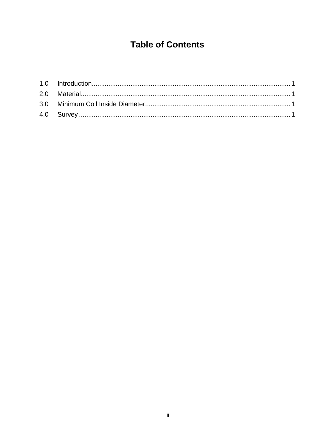## **Table of Contents**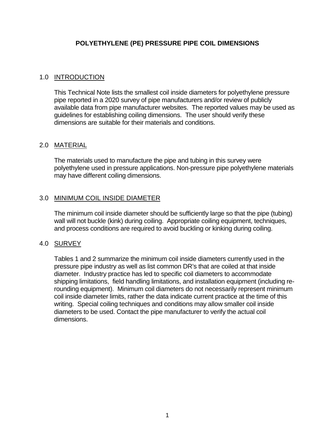#### **POLYETHYLENE (PE) PRESSURE PIPE COIL DIMENSIONS**

#### <span id="page-3-0"></span>1.0 INTRODUCTION

This Technical Note lists the smallest coil inside diameters for polyethylene pressure pipe reported in a 2020 survey of pipe manufacturers and/or review of publicly available data from pipe manufacturer websites. The reported values may be used as guidelines for establishing coiling dimensions. The user should verify these dimensions are suitable for their materials and conditions.

#### <span id="page-3-1"></span>2.0 MATERIAL

The materials used to manufacture the pipe and tubing in this survey were polyethylene used in pressure applications. Non-pressure pipe polyethylene materials may have different coiling dimensions.

#### <span id="page-3-2"></span>3.0 MINIMUM COIL INSIDE DIAMETER

The minimum coil inside diameter should be sufficiently large so that the pipe (tubing) wall will not buckle (kink) during coiling. Appropriate coiling equipment, techniques, and process conditions are required to avoid buckling or kinking during coiling.

#### <span id="page-3-3"></span>4.0 SURVEY

Tables 1 and 2 summarize the minimum coil inside diameters currently used in the pressure pipe industry as well as list common DR's that are coiled at that inside diameter. Industry practice has led to specific coil diameters to accommodate shipping limitations, field handling limitations, and installation equipment (including rerounding equipment). Minimum coil diameters do not necessarily represent minimum coil inside diameter limits, rather the data indicate current practice at the time of this writing. Special coiling techniques and conditions may allow smaller coil inside diameters to be used. Contact the pipe manufacturer to verify the actual coil dimensions.